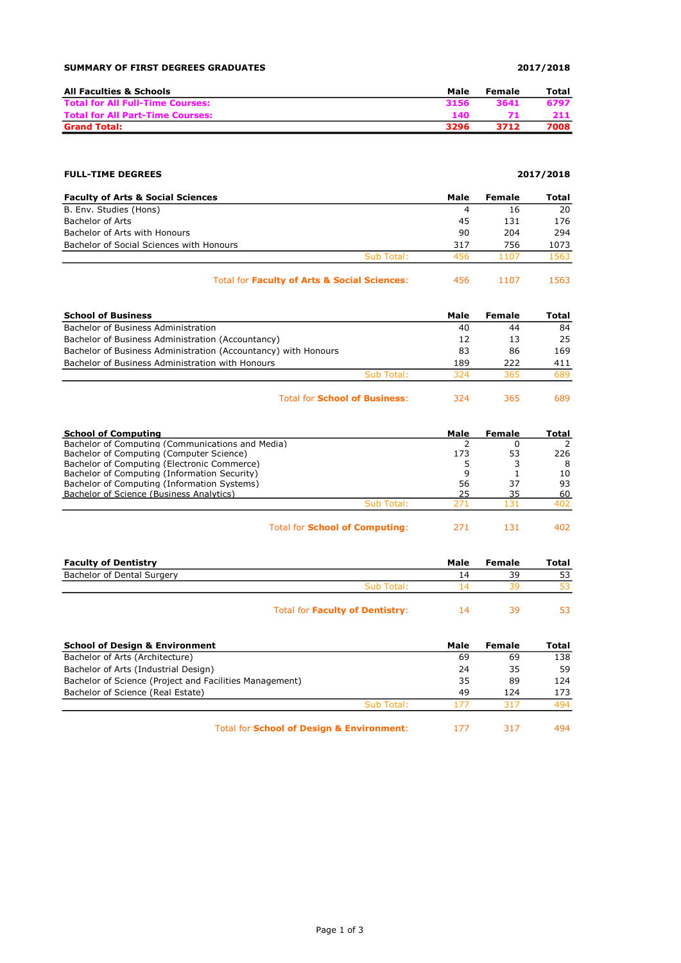## SUMMARY OF FIRST DEGREES GRADUATES 2017/2018

| All Faculties & Schools                 | Male | Female | Total |
|-----------------------------------------|------|--------|-------|
| <b>Total for All Full-Time Courses:</b> | 3156 | 3641   | 6797  |
| <b>Total for All Part-Time Courses:</b> | 140. |        | 211   |
| <b>Grand Total:</b>                     | 3296 | 3712   | 7008  |

## FULL-TIME DEGREES 2017/2018

| <b>Faculty of Arts &amp; Social Sciences</b> |            | Male | Female | Total |
|----------------------------------------------|------------|------|--------|-------|
| B. Env. Studies (Hons)                       |            |      | 16     | 20    |
| <b>Bachelor of Arts</b>                      |            | 45   | 131    | 176   |
| Bachelor of Arts with Honours                |            | 90   | 204    | 294   |
| Bachelor of Social Sciences with Honours     |            | 317  | 756    | 1073  |
|                                              | Sub Total: | 456  | 1107   | 1563  |
|                                              |            |      |        |       |

| Total for Faculty of Arts & Social Sciences: | -456 | 1107 | 1563 |
|----------------------------------------------|------|------|------|
|----------------------------------------------|------|------|------|

| <b>School of Business</b>                                      |            | Male | Female | Total |
|----------------------------------------------------------------|------------|------|--------|-------|
| Bachelor of Business Administration                            |            | 40   | 44     | 84    |
| Bachelor of Business Administration (Accountancy)              |            | 12   | 13     | 25    |
| Bachelor of Business Administration (Accountancy) with Honours |            | 83   | 86     | 169   |
| Bachelor of Business Administration with Honours               |            | 189  | 222    | 411   |
|                                                                | Sub Total: | 324  | 365    | 689   |
|                                                                |            |      |        |       |

Total for **School of Business:** 324 365 689

| <b>School of Computing</b>                       |                                       | Male | Female | Total |
|--------------------------------------------------|---------------------------------------|------|--------|-------|
| Bachelor of Computing (Communications and Media) |                                       |      |        |       |
| Bachelor of Computing (Computer Science)         |                                       | 173  | 53     | 226   |
| Bachelor of Computing (Electronic Commerce)      |                                       |      |        | 8     |
| Bachelor of Computing (Information Security)     |                                       | q    |        | 10    |
| Bachelor of Computing (Information Systems)      |                                       | 56   | 37     | 93    |
| Bachelor of Science (Business Analytics)         |                                       | 25   | 35     | 60    |
|                                                  | Sub Total:                            | 771  | 131    | 402   |
|                                                  | <b>Total for School of Computing:</b> | 771  | 131    | 402   |

Faculty of Dentistry **Faculty of Dentistry** Male Female Total Bachelor of Dental Surgery 14 39 53 Sub Total: 14 39 53

| Total for <b>Faculty of Dentistry:</b> |  | 53 |
|----------------------------------------|--|----|
|                                        |  |    |

| <b>School of Design &amp; Environment</b>               |            | Male | Female | Total |
|---------------------------------------------------------|------------|------|--------|-------|
| Bachelor of Arts (Architecture)                         |            | 69   | 69     | 138   |
| Bachelor of Arts (Industrial Design)                    |            | 24   | 35     | 59    |
| Bachelor of Science (Project and Facilities Management) |            | 35   | 89     | 124   |
| Bachelor of Science (Real Estate)                       |            | 49   | 124    | 173   |
|                                                         | Sub Total: | 177  | 317    | 494   |
|                                                         |            |      |        |       |

Total for **School of Design & Environment:** 177 317 494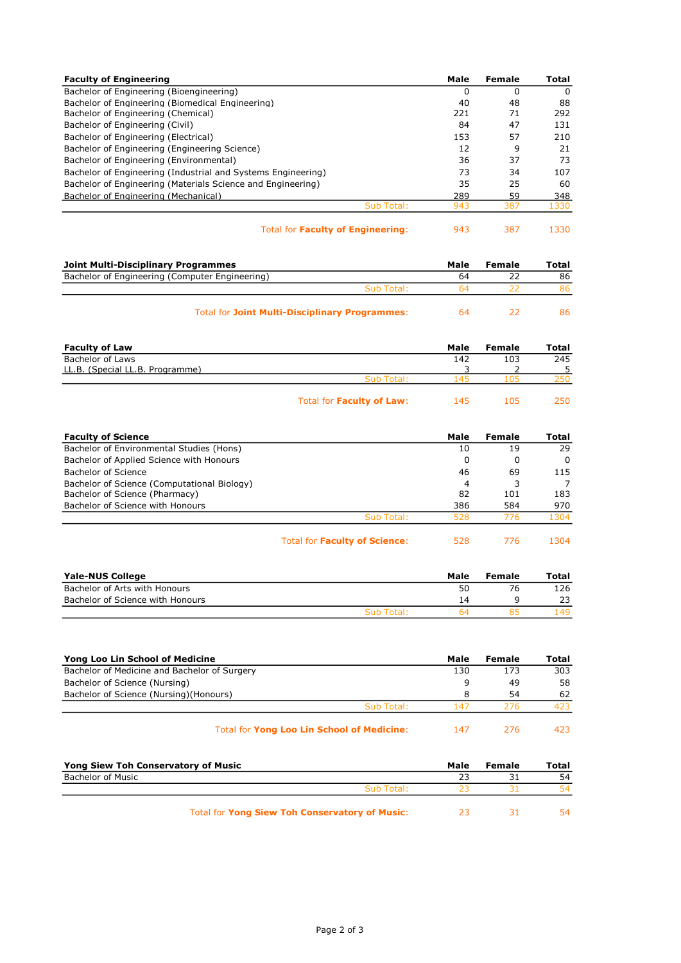| <b>Faculty of Engineering</b>                                |            | Male | Female | <b>Total</b> |
|--------------------------------------------------------------|------------|------|--------|--------------|
| Bachelor of Engineering (Bioengineering)                     |            | 0    | 0      | $\Omega$     |
| Bachelor of Engineering (Biomedical Engineering)             |            | 40   | 48     | 88           |
| Bachelor of Engineering (Chemical)                           |            | 221  | 71     | 292          |
| Bachelor of Engineering (Civil)                              |            | 84   | 47     | 131          |
| Bachelor of Engineering (Electrical)                         |            | 153  | 57     | 210          |
| Bachelor of Engineering (Engineering Science)                |            | 12   | 9      | 21           |
| Bachelor of Engineering (Environmental)                      |            | 36   | 37     | 73           |
| Bachelor of Engineering (Industrial and Systems Engineering) |            | 73   | 34     | 107          |
| Bachelor of Engineering (Materials Science and Engineering)  |            | 35   | 25     | 60           |
| Bachelor of Engineering (Mechanical)                         |            | 289  | 59     | 348          |
|                                                              | Sub Total: | 943  | 387    | 1330         |
|                                                              |            |      |        |              |

Total for Faculty of Engineering: 943 387 1330

| Joint Multi-Disciplinary Programmes                   | Male | Female | Total |
|-------------------------------------------------------|------|--------|-------|
| Bachelor of Engineering (Computer Engineering)        | 64   |        | 86    |
| Sub Total:                                            | ьΔ   |        | 86.   |
| <b>Total for Joint Multi-Disciplinary Programmes:</b> | 64   |        | 86    |

| <b>Faculty of Law</b>           |                                  | Male           | Female | Total |
|---------------------------------|----------------------------------|----------------|--------|-------|
| Bachelor of Laws                |                                  | 142            | 103    | 245   |
| LL.B. (Special LL.B. Programme) |                                  |                |        |       |
|                                 | Sub Total:                       | 4 <sup>5</sup> | רו ו   | 250   |
|                                 | Total for <b>Faculty of Law:</b> | 145            | 105    | 250.  |

| <b>Faculty of Science</b>                                                     |            | Male    | Female | <b>Total</b> |
|-------------------------------------------------------------------------------|------------|---------|--------|--------------|
| Bachelor of Environmental Studies (Hons)                                      |            | 10      | 19     | 29           |
| Bachelor of Applied Science with Honours                                      |            | 0       | 0      | 0            |
| Bachelor of Science                                                           |            | 46      | 69     | 115          |
| Bachelor of Science (Computational Biology)<br>Bachelor of Science (Pharmacy) |            | 4<br>82 | 101    | 183          |
| Bachelor of Science with Honours                                              |            | 386     | 584    | 970          |
|                                                                               | Sub Total: | 528     | 776    | 1304         |
|                                                                               |            |         |        |              |

Total for Faculty of Science: 528 776 1304

| Yale-NUS College                 |            | Male | Female | Total |
|----------------------------------|------------|------|--------|-------|
| Bachelor of Arts with Honours    |            | 50   |        | 126   |
| Bachelor of Science with Honours |            | 14   |        |       |
|                                  | Sub Total: |      |        | 149.  |

| Yong Loo Lin School of Medicine              |            | Male | Female | Total |
|----------------------------------------------|------------|------|--------|-------|
| Bachelor of Medicine and Bachelor of Surgery |            | 130  | 173    | 303   |
| Bachelor of Science (Nursing)                |            |      | 49     | 58    |
| Bachelor of Science (Nursing) (Honours)      |            |      | 54     | 62    |
|                                              | Sub Total: | 147  | 276    | 423   |
|                                              |            |      |        |       |

| Total for Yong Loo Lin School of Medicine: | 147 | -276 | 423 |
|--------------------------------------------|-----|------|-----|
|--------------------------------------------|-----|------|-----|

| Yong Siew Toh Conservatory of Music                   | Male | Female | Total |
|-------------------------------------------------------|------|--------|-------|
| Bachelor of Music                                     |      |        | 54    |
| Sub Total:                                            |      |        | 54    |
| <b>Total for Yong Siew Toh Conservatory of Music:</b> |      |        | 54.   |